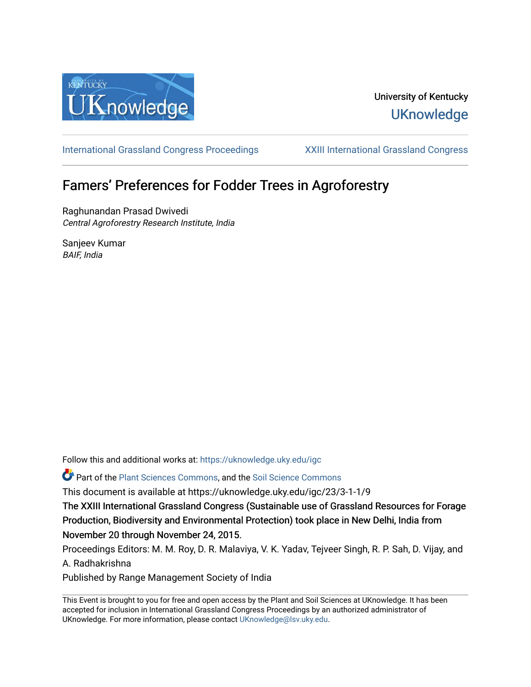

# University of Kentucky **UKnowledge**

[International Grassland Congress Proceedings](https://uknowledge.uky.edu/igc) [XXIII International Grassland Congress](https://uknowledge.uky.edu/igc/23) 

# Famers' Preferences for Fodder Trees in Agroforestry

Raghunandan Prasad Dwivedi Central Agroforestry Research Institute, India

Sanjeev Kumar BAIF, India

Follow this and additional works at: [https://uknowledge.uky.edu/igc](https://uknowledge.uky.edu/igc?utm_source=uknowledge.uky.edu%2Figc%2F23%2F3-1-1%2F9&utm_medium=PDF&utm_campaign=PDFCoverPages) 

Part of the [Plant Sciences Commons](http://network.bepress.com/hgg/discipline/102?utm_source=uknowledge.uky.edu%2Figc%2F23%2F3-1-1%2F9&utm_medium=PDF&utm_campaign=PDFCoverPages), and the [Soil Science Commons](http://network.bepress.com/hgg/discipline/163?utm_source=uknowledge.uky.edu%2Figc%2F23%2F3-1-1%2F9&utm_medium=PDF&utm_campaign=PDFCoverPages) 

This document is available at https://uknowledge.uky.edu/igc/23/3-1-1/9

The XXIII International Grassland Congress (Sustainable use of Grassland Resources for Forage Production, Biodiversity and Environmental Protection) took place in New Delhi, India from November 20 through November 24, 2015.

Proceedings Editors: M. M. Roy, D. R. Malaviya, V. K. Yadav, Tejveer Singh, R. P. Sah, D. Vijay, and A. Radhakrishna

Published by Range Management Society of India

This Event is brought to you for free and open access by the Plant and Soil Sciences at UKnowledge. It has been accepted for inclusion in International Grassland Congress Proceedings by an authorized administrator of UKnowledge. For more information, please contact [UKnowledge@lsv.uky.edu](mailto:UKnowledge@lsv.uky.edu).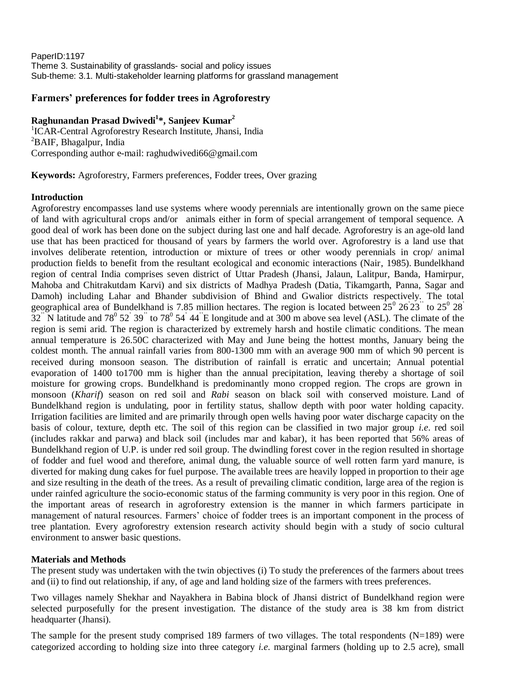PaperID:1197 Theme 3. Sustainability of grasslands- social and policy issues Sub-theme: 3.1. Multi-stakeholder learning platforms for grassland management

### **Farmers' preferences for fodder trees in Agroforestry**

## **Raghunandan Prasad Dwivedi<sup>1</sup> \*, Sanjeev Kumar<sup>2</sup>**

<sup>1</sup>ICAR-Central Agroforestry Research Institute, Jhansi, India <sup>2</sup>BAIF, Bhagalpur, India Corresponding author e-mail: raghudwivedi66@gmail.com

**Keywords:** Agroforestry, Farmers preferences, Fodder trees, Over grazing

#### **Introduction**

Agroforestry encompasses land use systems where woody perennials are intentionally grown on the same piece of land with agricultural crops and/or animals either in form of special arrangement of temporal sequence. A good deal of work has been done on the subject during last one and half decade. Agroforestry is an age-old land use that has been practiced for thousand of years by farmers the world over. Agroforestry is a land use that involves deliberate retention, introduction or mixture of trees or other woody perennials in crop/ animal production fields to benefit from the resultant ecological and economic interactions (Nair, 1985). Bundelkhand region of central India comprises seven district of Uttar Pradesh (Jhansi, Jalaun, Lalitpur, Banda, Hamirpur, Mahoba and Chitrakutdam Karvi) and six districts of Madhya Pradesh (Datia, Tikamgarth, Panna, Sagar and Damoh) including Lahar and Bhander subdivision of Bhind and Gwalior districts respectively. The total geographical area of Bundelkhand is 7.85 million hectares. The region is located between  $25^{\circ}$   $26'23$  to  $25^{\circ}$   $28'$  $32$ <sup>"</sup> N latitude and  $78^{\circ}$   $52^{\circ}$   $39^{\circ}$  to  $78^{\circ}$   $54^{\circ}$  44<sup>"</sup>E longitude and at 300 m above sea level (ASL). The climate of the region is semi arid. The region is characterized by extremely harsh and hostile climatic conditions. The mean annual temperature is 26.50C characterized with May and June being the hottest months, January being the coldest month. The annual rainfall varies from 800-1300 mm with an average 900 mm of which 90 percent is received during monsoon season. The distribution of rainfall is erratic and uncertain; Annual potential evaporation of 1400 to1700 mm is higher than the annual precipitation, leaving thereby a shortage of soil moisture for growing crops. Bundelkhand is predominantly mono cropped region. The crops are grown in monsoon (*Kharif*) season on red soil and *Rabi* season on black soil with conserved moisture. Land of Bundelkhand region is undulating, poor in fertility status, shallow depth with poor water holding capacity. Irrigation facilities are limited and are primarily through open wells having poor water discharge capacity on the basis of colour, texture, depth etc. The soil of this region can be classified in two major group *i.e*. red soil (includes rakkar and parwa) and black soil (includes mar and kabar), it has been reported that 56% areas of Bundelkhand region of U.P. is under red soil group. The dwindling forest cover in the region resulted in shortage of fodder and fuel wood and therefore, animal dung, the valuable source of well rotten farm yard manure, is diverted for making dung cakes for fuel purpose. The available trees are heavily lopped in proportion to their age and size resulting in the death of the trees. As a result of prevailing climatic condition, large area of the region is under rainfed agriculture the socio-economic status of the farming community is very poor in this region. One of the important areas of research in agroforestry extension is the manner in which farmers participate in management of natural resources. Farmers' choice of fodder trees is an important component in the process of tree plantation. Every agroforestry extension research activity should begin with a study of socio cultural environment to answer basic questions.

#### **Materials and Methods**

The present study was undertaken with the twin objectives (i) To study the preferences of the farmers about trees and (ii) to find out relationship, if any, of age and land holding size of the farmers with trees preferences.

Two villages namely Shekhar and Nayakhera in Babina block of Jhansi district of Bundelkhand region were selected purposefully for the present investigation. The distance of the study area is 38 km from district headquarter (Jhansi).

The sample for the present study comprised 189 farmers of two villages. The total respondents  $(N=189)$  were categorized according to holding size into three category *i.e*. marginal farmers (holding up to 2.5 acre), small